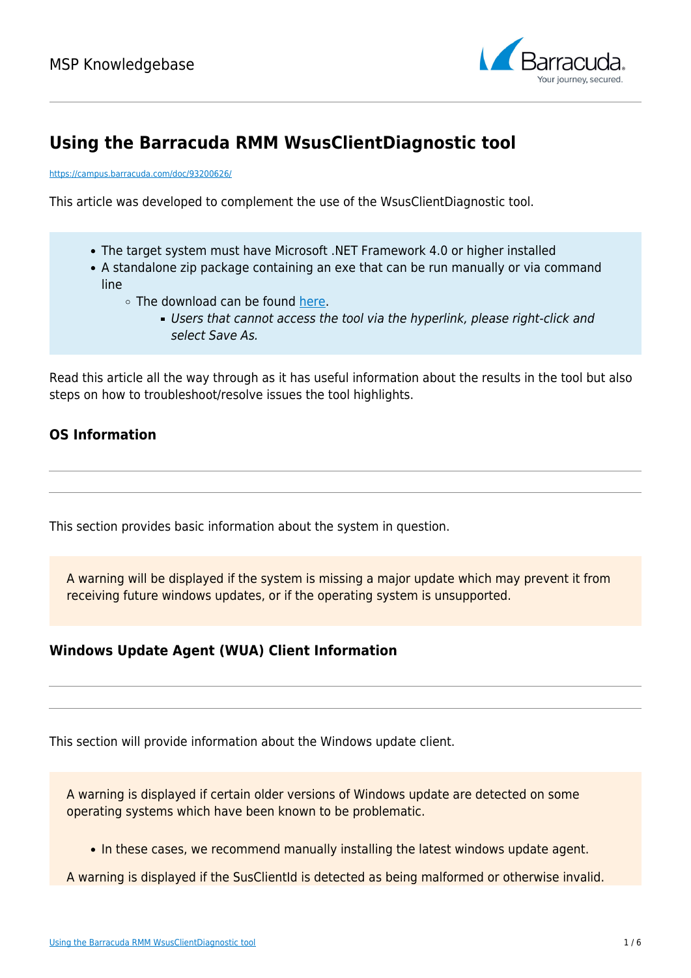

# **Using the Barracuda RMM WsusClientDiagnostic tool**

<https://campus.barracuda.com/doc/93200626/>

This article was developed to complement the use of the WsusClientDiagnostic tool.

- The target system must have Microsoft .NET Framework 4.0 or higher installed
- A standalone zip package containing an exe that can be run manually or via command line
	- The download can be found [here.](https://download.mw-rmm.barracudamsp.com/downloads/MWSupportDiagnosticsPackage/WsusClientDiagnostic.zip)
		- Users that cannot access the tool via the hyperlink, please right-click and select Save As.

Read this article all the way through as it has useful information about the results in the tool but also steps on how to troubleshoot/resolve issues the tool highlights.

## **OS Information**

This section provides basic information about the system in question.

A warning will be displayed if the system is missing a major update which may prevent it from receiving future windows updates, or if the operating system is unsupported.

## **Windows Update Agent (WUA) Client Information**

This section will provide information about the Windows update client.

A warning is displayed if certain older versions of Windows update are detected on some operating systems which have been known to be problematic.

- In these cases, we recommend manually installing the latest windows update agent.
- A warning is displayed if the SusClientId is detected as being malformed or otherwise invalid.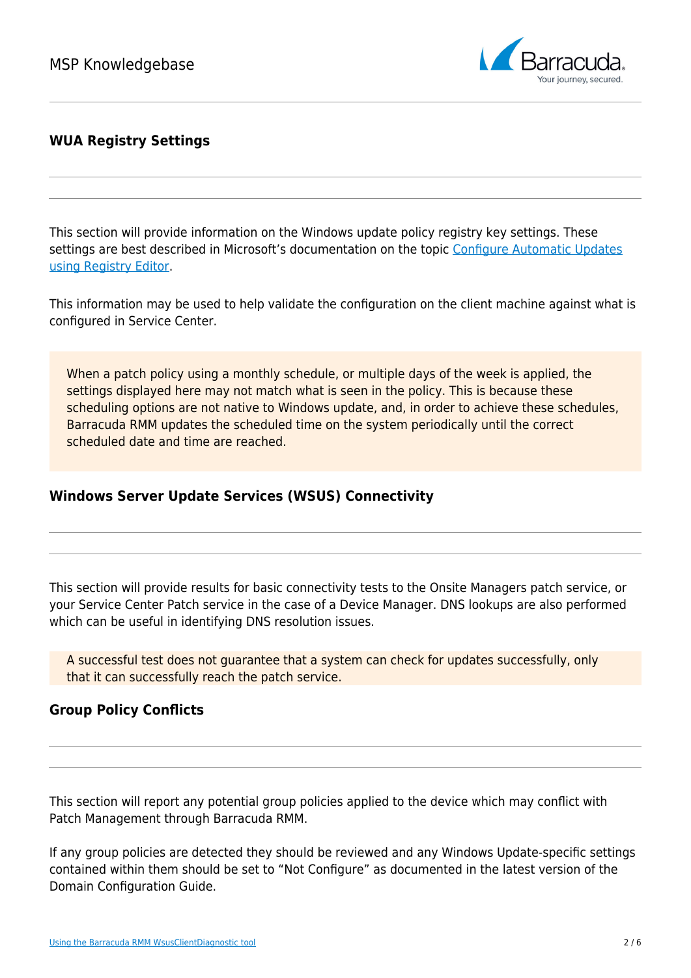

## **WUA Registry Settings**

This section will provide information on the Windows update policy registry key settings. These settings are best described in Microsoft's documentation on the topic [Configure Automatic Updates](https://docs.microsoft.com/en-us/previous-versions/windows/it-pro/windows-server-2008-R2-and-2008/dd939844(v=ws.10)?redirectedfrom=MSDN) [using Registry Editor.](https://docs.microsoft.com/en-us/previous-versions/windows/it-pro/windows-server-2008-R2-and-2008/dd939844(v=ws.10)?redirectedfrom=MSDN)

This information may be used to help validate the configuration on the client machine against what is configured in Service Center.

When a patch policy using a monthly schedule, or multiple days of the week is applied, the settings displayed here may not match what is seen in the policy. This is because these scheduling options are not native to Windows update, and, in order to achieve these schedules, Barracuda RMM updates the scheduled time on the system periodically until the correct scheduled date and time are reached.

## **Windows Server Update Services (WSUS) Connectivity**

This section will provide results for basic connectivity tests to the Onsite Managers patch service, or your Service Center Patch service in the case of a Device Manager. DNS lookups are also performed which can be useful in identifying DNS resolution issues.

A successful test does not guarantee that a system can check for updates successfully, only that it can successfully reach the patch service.

## **Group Policy Conflicts**

This section will report any potential group policies applied to the device which may conflict with Patch Management through Barracuda RMM.

If any group policies are detected they should be reviewed and any Windows Update-specific settings contained within them should be set to "Not Configure" as documented in the latest version of the Domain Configuration Guide.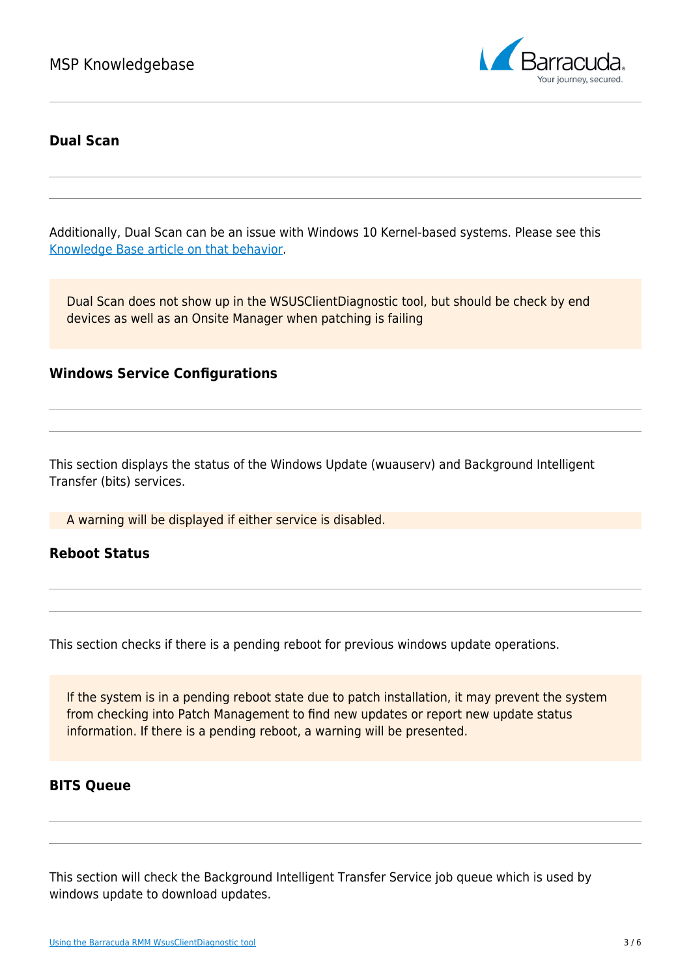

#### **Dual Scan**

Additionally, Dual Scan can be an issue with Windows 10 Kernel-based systems. Please see this [Knowledge Base article on that behavior.](http://campus.barracuda.com/doc/93200536/)

Dual Scan does not show up in the WSUSClientDiagnostic tool, but should be check by end devices as well as an Onsite Manager when patching is failing

#### **Windows Service Configurations**

This section displays the status of the Windows Update (wuauserv) and Background Intelligent Transfer (bits) services.

A warning will be displayed if either service is disabled.

#### **Reboot Status**

This section checks if there is a pending reboot for previous windows update operations.

If the system is in a pending reboot state due to patch installation, it may prevent the system from checking into Patch Management to find new updates or report new update status information. If there is a pending reboot, a warning will be presented.

#### **BITS Queue**

This section will check the Background Intelligent Transfer Service job queue which is used by windows update to download updates.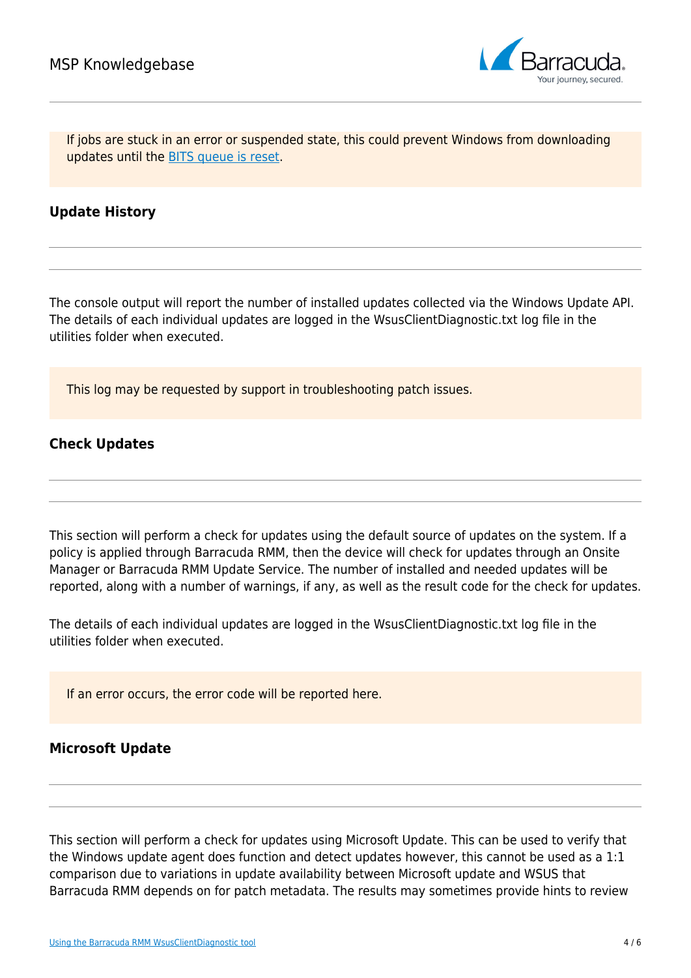

If jobs are stuck in an error or suspended state, this could prevent Windows from downloading updates until the [BITS queue is reset.](http://campus.barracuda.com/doc/93200618/)

### **Update History**

The console output will report the number of installed updates collected via the Windows Update API. The details of each individual updates are logged in the WsusClientDiagnostic.txt log file in the utilities folder when executed.

This log may be requested by support in troubleshooting patch issues.

#### **Check Updates**

This section will perform a check for updates using the default source of updates on the system. If a policy is applied through Barracuda RMM, then the device will check for updates through an Onsite Manager or Barracuda RMM Update Service. The number of installed and needed updates will be reported, along with a number of warnings, if any, as well as the result code for the check for updates.

The details of each individual updates are logged in the WsusClientDiagnostic.txt log file in the utilities folder when executed.

If an error occurs, the error code will be reported here.

#### **Microsoft Update**

This section will perform a check for updates using Microsoft Update. This can be used to verify that the Windows update agent does function and detect updates however, this cannot be used as a 1:1 comparison due to variations in update availability between Microsoft update and WSUS that Barracuda RMM depends on for patch metadata. The results may sometimes provide hints to review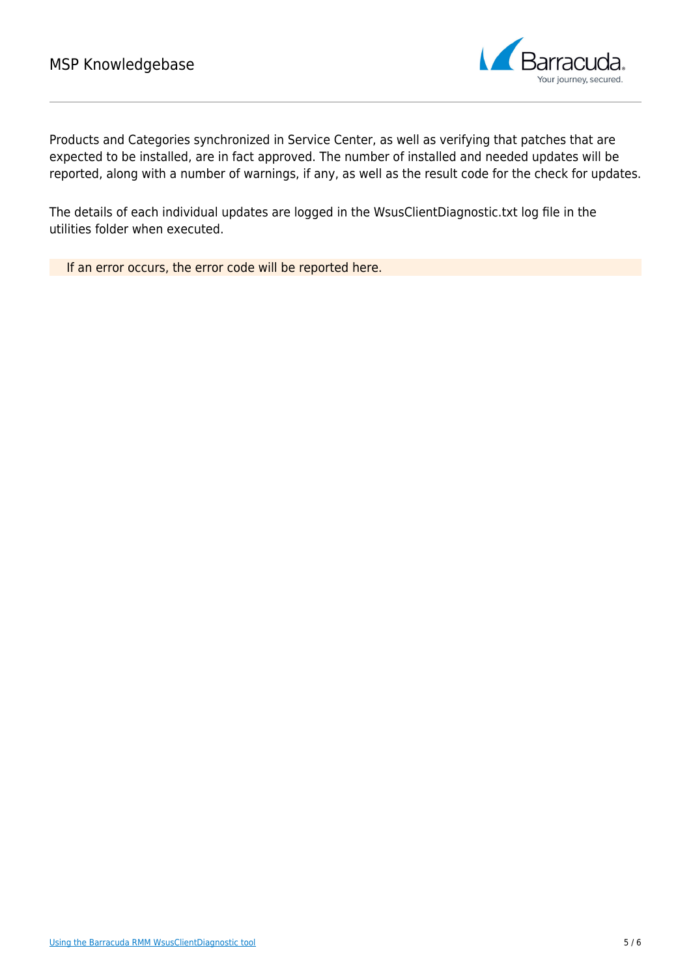

Products and Categories synchronized in Service Center, as well as verifying that patches that are expected to be installed, are in fact approved. The number of installed and needed updates will be reported, along with a number of warnings, if any, as well as the result code for the check for updates.

The details of each individual updates are logged in the WsusClientDiagnostic.txt log file in the utilities folder when executed.

If an error occurs, the error code will be reported here.